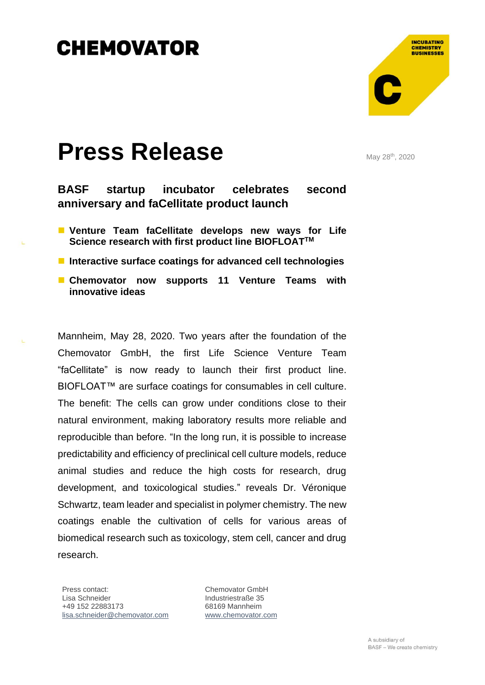

## **Press Release**

May 28<sup>th</sup>, 2020

**BASF startup incubator celebrates second anniversary and faCellitate product launch**

■ Venture Team faCellitate develops new ways for Life **Science research with first product line BIOFLOATTM**

■ Interactive surface coatings for advanced cell technologies

■ Chemovator now supports 11 Venture Teams with **innovative ideas** 

Mannheim, May 28, 2020. Two years after the foundation of the Chemovator GmbH, the first Life Science Venture Team "faCellitate" is now ready to launch their first product line. BIOFLOAT™ are surface coatings for consumables in cell culture. The benefit: The cells can grow under conditions close to their natural environment, making laboratory results more reliable and reproducible than before. "In the long run, it is possible to increase predictability and efficiency of preclinical cell culture models, reduce animal studies and reduce the high costs for research, drug development, and toxicological studies." reveals Dr. Véronique Schwartz, team leader and specialist in polymer chemistry. The new coatings enable the cultivation of cells for various areas of biomedical research such as toxicology, stem cell, cancer and drug research.

Press contact: Lisa Schneider +49 152 22883173 [lisa.schneider@chemovator.com](mailto:lisa.schneider@chemovator.com?subject=Press%20release:%20Chemovator)

Chemovator GmbH Industriestraße 35 68169 Mannheim [www.chemovator.com](http://www.chemovator.com/)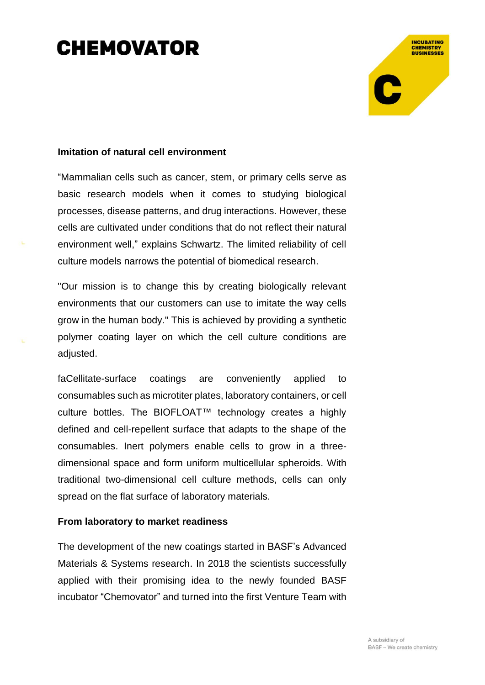# **INCUBATING CHEMISTRY**<br>BUSINESSES

### **Imitation of natural cell environment**

"Mammalian cells such as cancer, stem, or primary cells serve as basic research models when it comes to studying biological processes, disease patterns, and drug interactions. However, these cells are cultivated under conditions that do not reflect their natural environment well," explains Schwartz. The limited reliability of cell culture models narrows the potential of biomedical research.

"Our mission is to change this by creating biologically relevant environments that our customers can use to imitate the way cells grow in the human body." This is achieved by providing a synthetic polymer coating layer on which the cell culture conditions are adiusted.

faCellitate-surface coatings are conveniently applied to consumables such as microtiter plates, laboratory containers, or cell culture bottles. The BIOFLOAT™ technology creates a highly defined and cell-repellent surface that adapts to the shape of the consumables. Inert polymers enable cells to grow in a threedimensional space and form uniform multicellular spheroids. With traditional two-dimensional cell culture methods, cells can only spread on the flat surface of laboratory materials.

#### **From laboratory to market readiness**

The development of the new coatings started in BASF's Advanced Materials & Systems research. In 2018 the scientists successfully applied with their promising idea to the newly founded BASF incubator "Chemovator" and turned into the first Venture Team with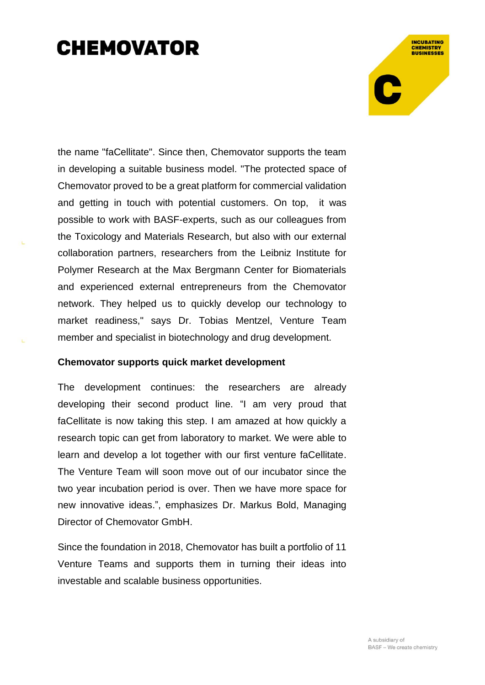**INCUBATING CHEMISTRY**<br>BUSINESSES

the name "faCellitate". Since then, Chemovator supports the team in developing a suitable business model. "The protected space of Chemovator proved to be a great platform for commercial validation and getting in touch with potential customers. On top, it was possible to work with BASF-experts, such as our colleagues from the Toxicology and Materials Research, but also with our external collaboration partners, researchers from the Leibniz Institute for Polymer Research at the Max Bergmann Center for Biomaterials and experienced external entrepreneurs from the Chemovator network. They helped us to quickly develop our technology to market readiness," says Dr. Tobias Mentzel, Venture Team member and specialist in biotechnology and drug development.

#### **Chemovator supports quick market development**

The development continues: the researchers are already developing their second product line. "I am very proud that faCellitate is now taking this step. I am amazed at how quickly a research topic can get from laboratory to market. We were able to learn and develop a lot together with our first venture faCellitate. The Venture Team will soon move out of our incubator since the two year incubation period is over. Then we have more space for new innovative ideas.", emphasizes Dr. Markus Bold, Managing Director of Chemovator GmbH.

Since the foundation in 2018, Chemovator has built a portfolio of 11 Venture Teams and supports them in turning their ideas into investable and scalable business opportunities.